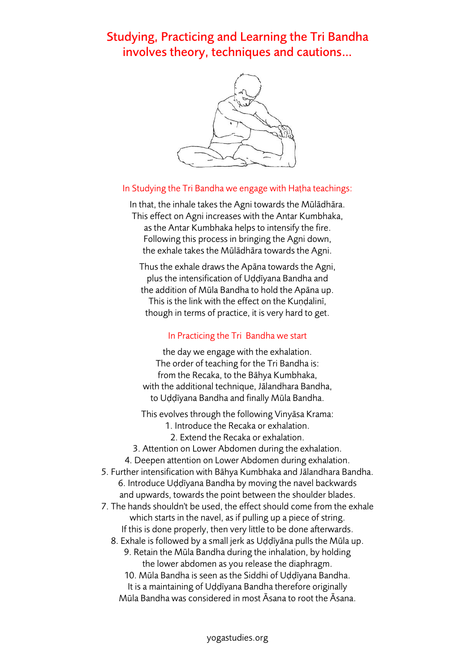Studying, Practicing and Learning the Tri Bandha involves theory, techniques and cautions…



## In Studying the Tri Bandha we engage with Haṭha teachings:

In that, the inhale takes the Agni towards the Mūlādhāra. This effect on Agni increases with the Antar Kumbhaka, as the Antar Kumbhaka helps to intensify the fire. Following this process in bringing the Agni down, the exhale takes the Mūlādhāra towards the Agni.

Thus the exhale draws the Apāna towards the Agni, plus the intensification of Uḍḍīyana Bandha and the addition of Mūla Bandha to hold the Apāna up. This is the link with the effect on the Kundalini, though in terms of practice, it is very hard to get.

## In Practicing the Tri Bandha we start

the day we engage with the exhalation. The order of teaching for the Tri Bandha is: from the Recaka, to the Bāhya Kumbhaka, with the additional technique, Jālandhara Bandha, to Uḍḍīyana Bandha and finally Mūla Bandha.

This evolves through the following Vinyāsa Krama:

1. Introduce the Recaka or exhalation.

2. Extend the Recaka or exhalation.

3. Attention on Lower Abdomen during the exhalation.

4. Deepen attention on Lower Abdomen during exhalation.

5. Further intensification with Bāhya Kumbhaka and Jālandhara Bandha. 6. Introduce Uḍḍīyana Bandha by moving the navel backwards and upwards, towards the point between the shoulder blades.

7. The hands shouldn't be used, the effect should come from the exhale which starts in the navel, as if pulling up a piece of string. If this is done properly, then very little to be done afterwards.

8. Exhale is followed by a small jerk as Uḍḍīyāna pulls the Mūla up. 9. Retain the Mūla Bandha during the inhalation, by holding

the lower abdomen as you release the diaphragm.

10. Mūla Bandha is seen as the Siddhi of Uḍḍīyana Bandha.

It is a maintaining of Uḍḍīyana Bandha therefore originally

Mūla Bandha was considered in most Āsana to root the Āsana.